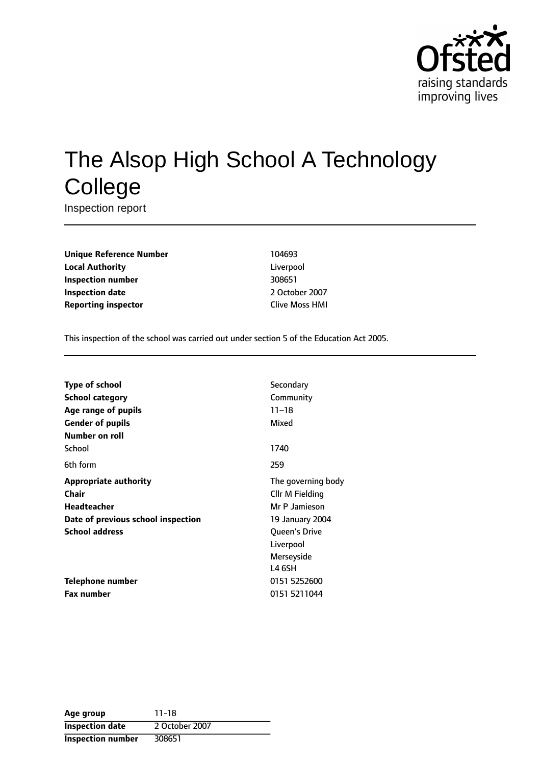

# The Alsop High School A Technology **College**

Inspection report

**Unique Reference Number** 104693 **Local Authority** Liverpool **Inspection number** 308651 **Inspection date** 2 October 2007 **Reporting inspector** Clive Moss HMI

This inspection of the school was carried out under section 5 of the Education Act 2005.

| <b>Type of school</b>              | Secondary            |
|------------------------------------|----------------------|
| School category                    | Community            |
| Age range of pupils                | $11 - 18$            |
| <b>Gender of pupils</b>            | Mixed                |
| Number on roll                     |                      |
| School                             | 1740                 |
| 6th form                           | 259                  |
| <b>Appropriate authority</b>       | The governing body   |
| Chair                              | Cllr M Fielding      |
| <b>Headteacher</b>                 | Mr P Jamieson        |
| Date of previous school inspection | 19 January 2004      |
| <b>School address</b>              | <b>Oueen's Drive</b> |
|                                    | Liverpool            |
|                                    | Merseyside           |
|                                    | L4 6SH               |
| <b>Telephone number</b>            | 0151 5252600         |
| <b>Fax number</b>                  | 0151 5211044         |

**Age group** 11-18 **Inspection date** 2 October 2007 **Inspection number** 308651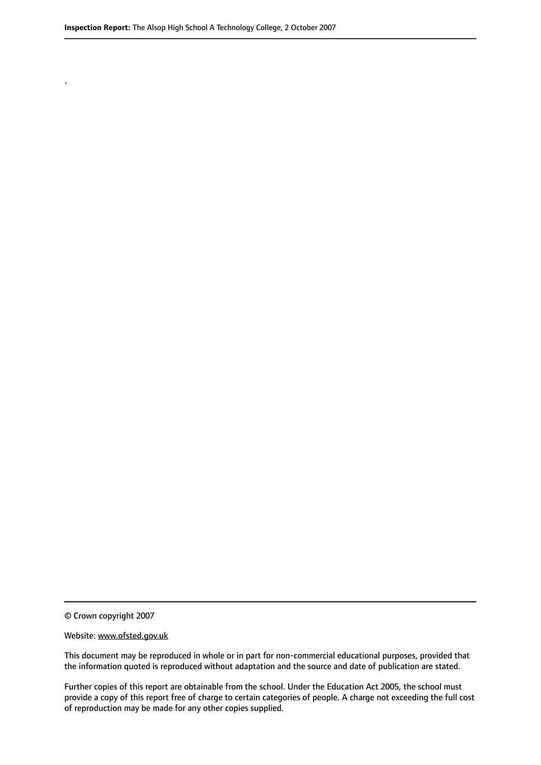.

© Crown copyright 2007

#### Website: www.ofsted.gov.uk

This document may be reproduced in whole or in part for non-commercial educational purposes, provided that the information quoted is reproduced without adaptation and the source and date of publication are stated.

Further copies of this report are obtainable from the school. Under the Education Act 2005, the school must provide a copy of this report free of charge to certain categories of people. A charge not exceeding the full cost of reproduction may be made for any other copies supplied.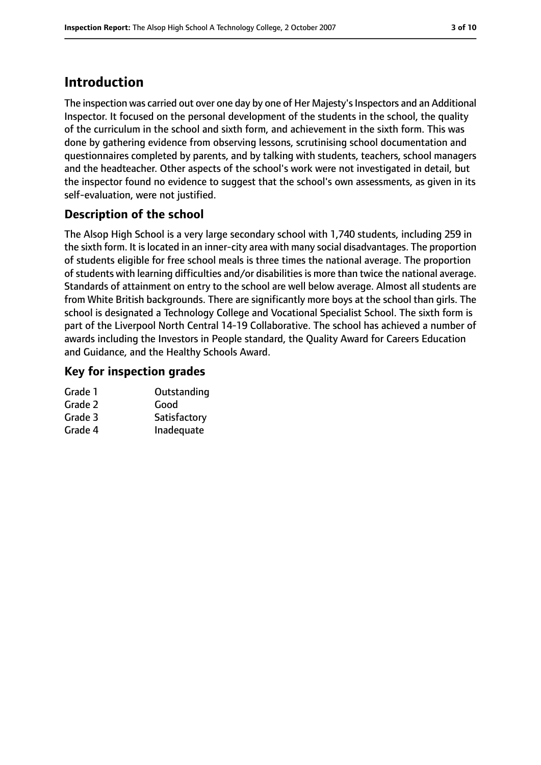## **Introduction**

The inspection was carried out over one day by one of Her Majesty's Inspectors and an Additional Inspector. It focused on the personal development of the students in the school, the quality of the curriculum in the school and sixth form, and achievement in the sixth form. This was done by gathering evidence from observing lessons, scrutinising school documentation and questionnaires completed by parents, and by talking with students, teachers, school managers and the headteacher. Other aspects of the school's work were not investigated in detail, but the inspector found no evidence to suggest that the school's own assessments, as given in its self-evaluation, were not justified.

## **Description of the school**

The Alsop High School is a very large secondary school with 1,740 students, including 259 in the sixth form. It is located in an inner-city area with many social disadvantages. The proportion of students eligible for free school meals is three times the national average. The proportion of students with learning difficulties and/or disabilities is more than twice the national average. Standards of attainment on entry to the school are well below average. Almost all students are from White British backgrounds. There are significantly more boys at the school than girls. The school is designated a Technology College and Vocational Specialist School. The sixth form is part of the Liverpool North Central 14-19 Collaborative. The school has achieved a number of awards including the Investors in People standard, the Quality Award for Careers Education and Guidance, and the Healthy Schools Award.

## **Key for inspection grades**

| Outstanding  |
|--------------|
| Good         |
| Satisfactory |
| Inadequate   |
|              |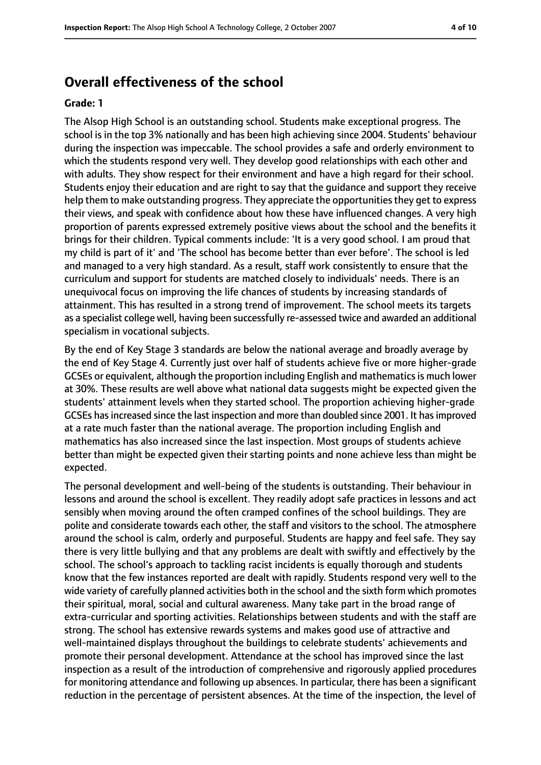## **Overall effectiveness of the school**

#### **Grade: 1**

The Alsop High School is an outstanding school. Students make exceptional progress. The school is in the top 3% nationally and has been high achieving since 2004. Students' behaviour during the inspection was impeccable. The school provides a safe and orderly environment to which the students respond very well. They develop good relationships with each other and with adults. They show respect for their environment and have a high regard for their school. Students enjoy their education and are right to say that the guidance and support they receive help them to make outstanding progress. They appreciate the opportunities they get to express their views, and speak with confidence about how these have influenced changes. A very high proportion of parents expressed extremely positive views about the school and the benefits it brings for their children. Typical comments include: 'It is a very good school. I am proud that my child is part of it' and 'The school has become better than ever before'. The school is led and managed to a very high standard. As a result, staff work consistently to ensure that the curriculum and support for students are matched closely to individuals' needs. There is an unequivocal focus on improving the life chances of students by increasing standards of attainment. This has resulted in a strong trend of improvement. The school meets its targets as a specialist college well, having been successfully re-assessed twice and awarded an additional specialism in vocational subjects.

By the end of Key Stage 3 standards are below the national average and broadly average by the end of Key Stage 4. Currently just over half of students achieve five or more higher-grade GCSEs or equivalent, although the proportion including English and mathematics is much lower at 30%. These results are well above what national data suggests might be expected given the students' attainment levels when they started school. The proportion achieving higher-grade GCSEs hasincreased since the last inspection and more than doubled since 2001. It hasimproved at a rate much faster than the national average. The proportion including English and mathematics has also increased since the last inspection. Most groups of students achieve better than might be expected given their starting points and none achieve less than might be expected.

The personal development and well-being of the students is outstanding. Their behaviour in lessons and around the school is excellent. They readily adopt safe practices in lessons and act sensibly when moving around the often cramped confines of the school buildings. They are polite and considerate towards each other, the staff and visitors to the school. The atmosphere around the school is calm, orderly and purposeful. Students are happy and feel safe. They say there is very little bullying and that any problems are dealt with swiftly and effectively by the school. The school's approach to tackling racist incidents is equally thorough and students know that the few instances reported are dealt with rapidly. Students respond very well to the wide variety of carefully planned activities both in the school and the sixth form which promotes their spiritual, moral, social and cultural awareness. Many take part in the broad range of extra-curricular and sporting activities. Relationships between students and with the staff are strong. The school has extensive rewards systems and makes good use of attractive and well-maintained displays throughout the buildings to celebrate students' achievements and promote their personal development. Attendance at the school has improved since the last inspection as a result of the introduction of comprehensive and rigorously applied procedures for monitoring attendance and following up absences. In particular, there has been a significant reduction in the percentage of persistent absences. At the time of the inspection, the level of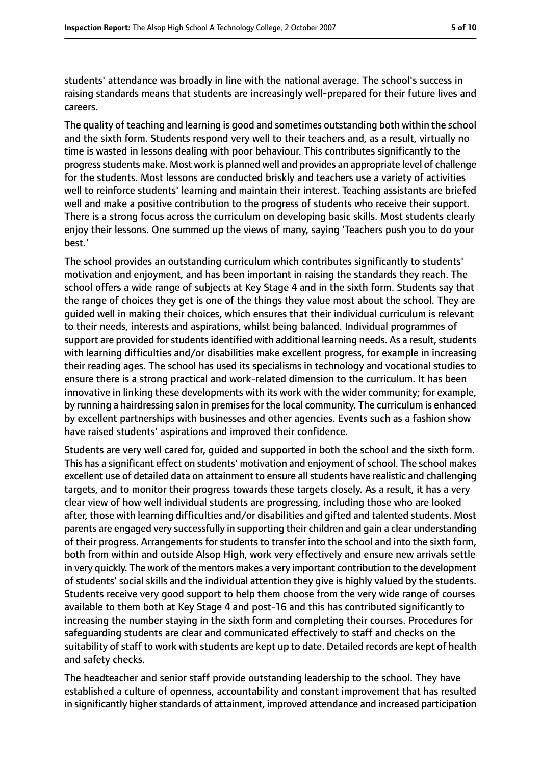students' attendance was broadly in line with the national average. The school's success in raising standards means that students are increasingly well-prepared for their future lives and careers.

The quality of teaching and learning is good and sometimes outstanding both within the school and the sixth form. Students respond very well to their teachers and, as a result, virtually no time is wasted in lessons dealing with poor behaviour. This contributes significantly to the progressstudents make. Most work is planned well and provides an appropriate level of challenge for the students. Most lessons are conducted briskly and teachers use a variety of activities well to reinforce students' learning and maintain their interest. Teaching assistants are briefed well and make a positive contribution to the progress of students who receive their support. There is a strong focus across the curriculum on developing basic skills. Most students clearly enjoy their lessons. One summed up the views of many, saying 'Teachers push you to do your best.'

The school provides an outstanding curriculum which contributes significantly to students' motivation and enjoyment, and has been important in raising the standards they reach. The school offers a wide range of subjects at Key Stage 4 and in the sixth form. Students say that the range of choices they get is one of the things they value most about the school. They are guided well in making their choices, which ensures that their individual curriculum is relevant to their needs, interests and aspirations, whilst being balanced. Individual programmes of support are provided for students identified with additional learning needs. As a result, students with learning difficulties and/or disabilities make excellent progress, for example in increasing their reading ages. The school has used its specialisms in technology and vocational studies to ensure there is a strong practical and work-related dimension to the curriculum. It has been innovative in linking these developments with its work with the wider community; for example, by running a hairdressing salon in premises for the local community. The curriculum is enhanced by excellent partnerships with businesses and other agencies. Events such as a fashion show have raised students' aspirations and improved their confidence.

Students are very well cared for, guided and supported in both the school and the sixth form. This has a significant effect on students' motivation and enjoyment of school. The school makes excellent use of detailed data on attainment to ensure allstudents have realistic and challenging targets, and to monitor their progress towards these targets closely. As a result, it has a very clear view of how well individual students are progressing, including those who are looked after, those with learning difficulties and/or disabilities and gifted and talented students. Most parents are engaged very successfully in supporting their children and gain a clear understanding of their progress. Arrangements for students to transfer into the school and into the sixth form, both from within and outside Alsop High, work very effectively and ensure new arrivals settle in very quickly. The work of the mentors makes a very important contribution to the development of students' social skills and the individual attention they give is highly valued by the students. Students receive very good support to help them choose from the very wide range of courses available to them both at Key Stage 4 and post-16 and this has contributed significantly to increasing the number staying in the sixth form and completing their courses. Procedures for safeguarding students are clear and communicated effectively to staff and checks on the suitability of staff to work with students are kept up to date. Detailed records are kept of health and safety checks.

The headteacher and senior staff provide outstanding leadership to the school. They have established a culture of openness, accountability and constant improvement that has resulted in significantly higher standards of attainment, improved attendance and increased participation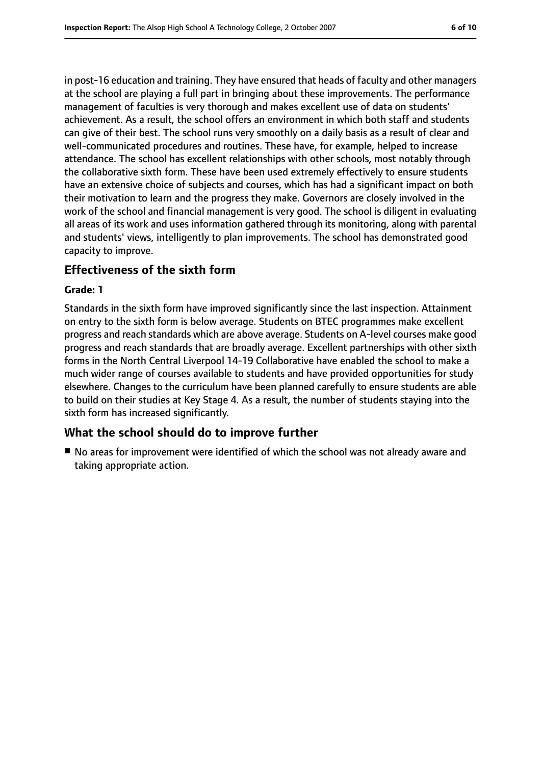in post-16 education and training. They have ensured that heads of faculty and other managers at the school are playing a full part in bringing about these improvements. The performance management of faculties is very thorough and makes excellent use of data on students' achievement. As a result, the school offers an environment in which both staff and students can give of their best. The school runs very smoothly on a daily basis as a result of clear and well-communicated procedures and routines. These have, for example, helped to increase attendance. The school has excellent relationships with other schools, most notably through the collaborative sixth form. These have been used extremely effectively to ensure students have an extensive choice of subjects and courses, which has had a significant impact on both their motivation to learn and the progress they make. Governors are closely involved in the work of the school and financial management is very good. The school is diligent in evaluating all areas of its work and uses information gathered through its monitoring, along with parental and students' views, intelligently to plan improvements. The school has demonstrated good capacity to improve.

## **Effectiveness of the sixth form**

#### **Grade: 1**

Standards in the sixth form have improved significantly since the last inspection. Attainment on entry to the sixth form is below average. Students on BTEC programmes make excellent progress and reach standards which are above average. Students on A-level courses make good progress and reach standards that are broadly average. Excellent partnerships with other sixth forms in the North Central Liverpool 14-19 Collaborative have enabled the school to make a much wider range of courses available to students and have provided opportunities for study elsewhere. Changes to the curriculum have been planned carefully to ensure students are able to build on their studies at Key Stage 4. As a result, the number of students staying into the sixth form has increased significantly.

### **What the school should do to improve further**

■ No areas for improvement were identified of which the school was not already aware and taking appropriate action.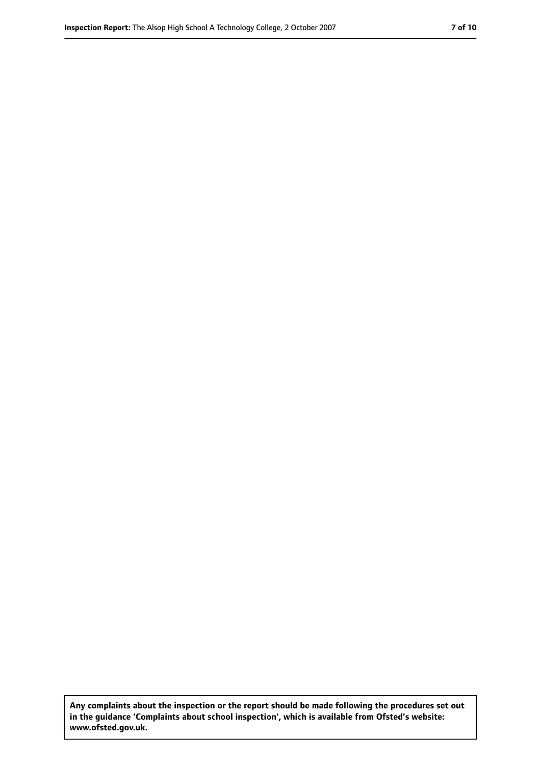**Any complaints about the inspection or the report should be made following the procedures set out in the guidance 'Complaints about school inspection', which is available from Ofsted's website: www.ofsted.gov.uk.**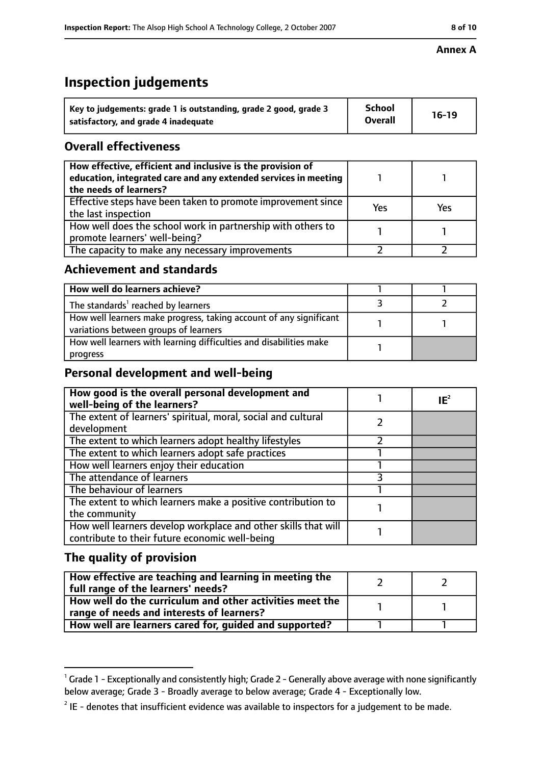#### **Annex A**

# **Inspection judgements**

| Key to judgements: grade 1 is outstanding, grade 2 good, grade 3 | <b>School</b>  | $16-19$ |
|------------------------------------------------------------------|----------------|---------|
| satisfactory, and grade 4 inadequate                             | <b>Overall</b> |         |

## **Overall effectiveness**

| How effective, efficient and inclusive is the provision of<br>education, integrated care and any extended services in meeting<br>the needs of learners? |     |     |
|---------------------------------------------------------------------------------------------------------------------------------------------------------|-----|-----|
| Effective steps have been taken to promote improvement since<br>the last inspection                                                                     | Yes | Yes |
| How well does the school work in partnership with others to<br>promote learners' well-being?                                                            |     |     |
| The capacity to make any necessary improvements                                                                                                         |     |     |

## **Achievement and standards**

| How well do learners achieve?                                                                               |  |
|-------------------------------------------------------------------------------------------------------------|--|
| The standards <sup>1</sup> reached by learners                                                              |  |
| How well learners make progress, taking account of any significant<br>variations between groups of learners |  |
| How well learners with learning difficulties and disabilities make<br>progress                              |  |

## **Personal development and well-being**

| How good is the overall personal development and<br>well-being of the learners?                                  | $IE^2$ |
|------------------------------------------------------------------------------------------------------------------|--------|
| The extent of learners' spiritual, moral, social and cultural                                                    |        |
| development                                                                                                      |        |
| The extent to which learners adopt healthy lifestyles                                                            |        |
| The extent to which learners adopt safe practices                                                                |        |
| How well learners enjoy their education                                                                          |        |
| The attendance of learners                                                                                       |        |
| The behaviour of learners                                                                                        |        |
| The extent to which learners make a positive contribution to                                                     |        |
| the community                                                                                                    |        |
| How well learners develop workplace and other skills that will<br>contribute to their future economic well-being |        |

## **The quality of provision**

| How effective are teaching and learning in meeting the<br>  full range of the learners' needs?          |  |
|---------------------------------------------------------------------------------------------------------|--|
| How well do the curriculum and other activities meet the<br>  range of needs and interests of learners? |  |
| How well are learners cared for, guided and supported?                                                  |  |

 $^1$  Grade 1 - Exceptionally and consistently high; Grade 2 - Generally above average with none significantly below average; Grade 3 - Broadly average to below average; Grade 4 - Exceptionally low.

 $2$  IE - denotes that insufficient evidence was available to inspectors for a judgement to be made.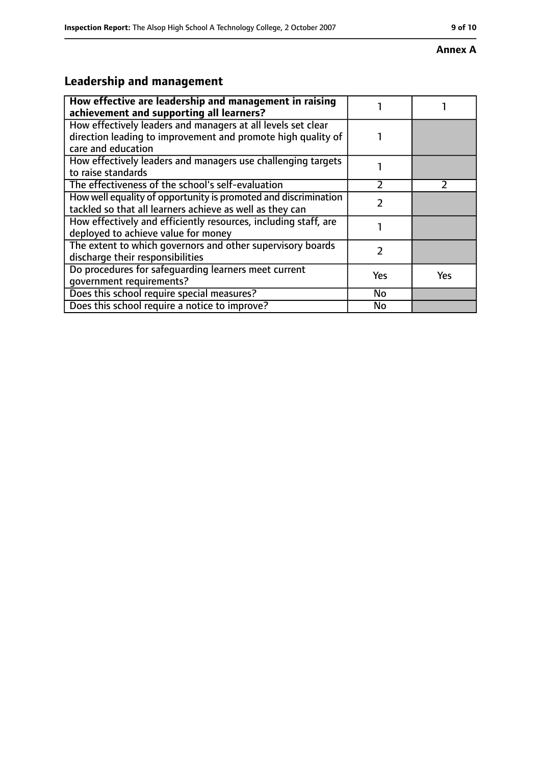#### **Annex A**

# **Leadership and management**

| How effective are leadership and management in raising<br>achievement and supporting all learners?                                                 |           |               |
|----------------------------------------------------------------------------------------------------------------------------------------------------|-----------|---------------|
| How effectively leaders and managers at all levels set clear<br>direction leading to improvement and promote high quality of<br>care and education |           |               |
| How effectively leaders and managers use challenging targets<br>to raise standards                                                                 |           |               |
| The effectiveness of the school's self-evaluation                                                                                                  | າ         | $\mathcal{P}$ |
| How well equality of opportunity is promoted and discrimination<br>tackled so that all learners achieve as well as they can                        |           |               |
| How effectively and efficiently resources, including staff, are<br>deployed to achieve value for money                                             |           |               |
| The extent to which governors and other supervisory boards<br>discharge their responsibilities                                                     | 2         |               |
| Do procedures for safequarding learners meet current<br>qovernment requirements?                                                                   | Yes       | Yes           |
| Does this school require special measures?                                                                                                         | <b>No</b> |               |
| Does this school require a notice to improve?                                                                                                      | No        |               |